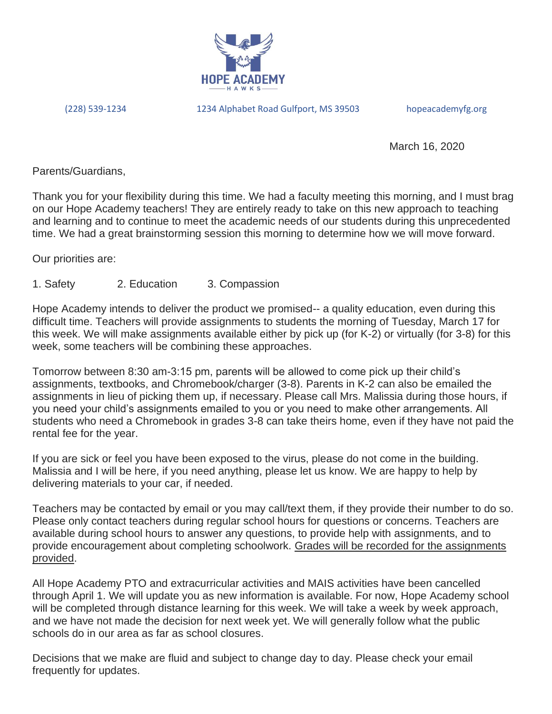

(228) 539-1234 1234 Alphabet Road Gulfport, MS 39503 hopeacademyfg.org

March 16, 2020

Parents/Guardians,

Thank you for your flexibility during this time. We had a faculty meeting this morning, and I must brag on our Hope Academy teachers! They are entirely ready to take on this new approach to teaching and learning and to continue to meet the academic needs of our students during this unprecedented time. We had a great brainstorming session this morning to determine how we will move forward.

Our priorities are:

1. Safety 2. Education 3. Compassion

Hope Academy intends to deliver the product we promised-- a quality education, even during this difficult time. Teachers will provide assignments to students the morning of Tuesday, March 17 for this week. We will make assignments available either by pick up (for K-2) or virtually (for 3-8) for this week, some teachers will be combining these approaches.

Tomorrow between 8:30 am-3:15 pm, parents will be allowed to come pick up their child's assignments, textbooks, and Chromebook/charger (3-8). Parents in K-2 can also be emailed the assignments in lieu of picking them up, if necessary. Please call Mrs. Malissia during those hours, if you need your child's assignments emailed to you or you need to make other arrangements. All students who need a Chromebook in grades 3-8 can take theirs home, even if they have not paid the rental fee for the year.

If you are sick or feel you have been exposed to the virus, please do not come in the building. Malissia and I will be here, if you need anything, please let us know. We are happy to help by delivering materials to your car, if needed.

Teachers may be contacted by email or you may call/text them, if they provide their number to do so. Please only contact teachers during regular school hours for questions or concerns. Teachers are available during school hours to answer any questions, to provide help with assignments, and to provide encouragement about completing schoolwork. Grades will be recorded for the assignments provided.

All Hope Academy PTO and extracurricular activities and MAIS activities have been cancelled through April 1. We will update you as new information is available. For now, Hope Academy school will be completed through distance learning for this week. We will take a week by week approach, and we have not made the decision for next week yet. We will generally follow what the public schools do in our area as far as school closures.

Decisions that we make are fluid and subject to change day to day. Please check your email frequently for updates.